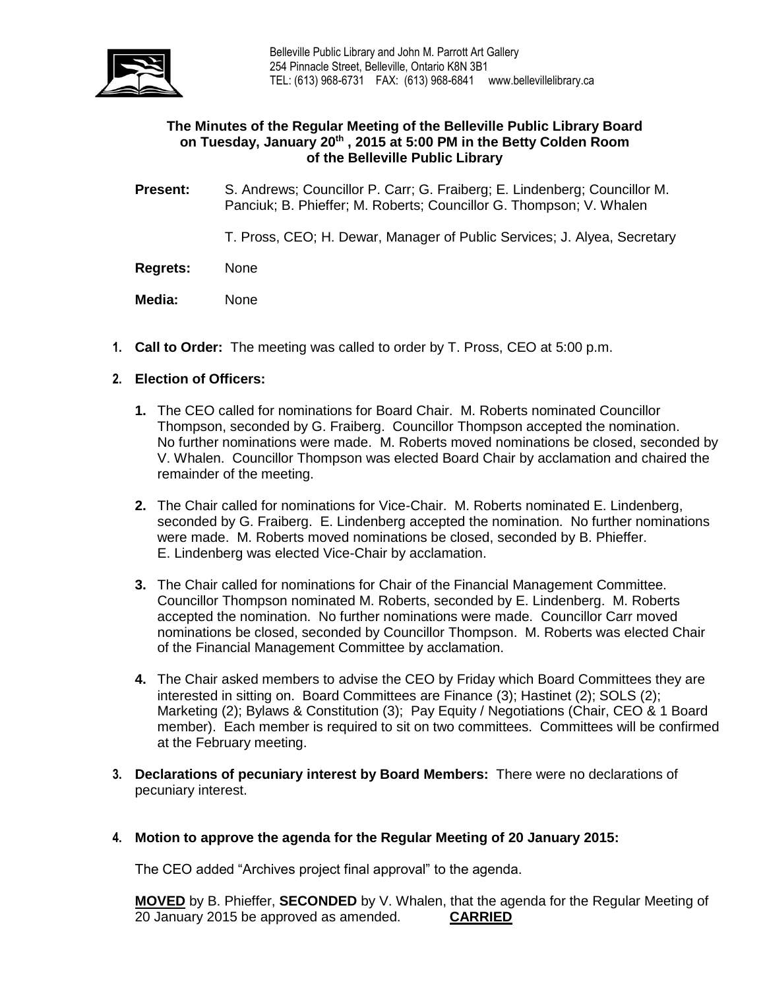

## **The Minutes of the Regular Meeting of the Belleville Public Library Board on Tuesday, January 20th , 2015 at 5:00 PM in the Betty Colden Room of the Belleville Public Library**

**Present:** S. Andrews; Councillor P. Carr; G. Fraiberg; E. Lindenberg; Councillor M. Panciuk; B. Phieffer; M. Roberts; Councillor G. Thompson; V. Whalen

T. Pross, CEO; H. Dewar, Manager of Public Services; J. Alyea, Secretary

- **Regrets:** None
- **Media:** None
- **1. Call to Order:** The meeting was called to order by T. Pross, CEO at 5:00 p.m.

# **2. Election of Officers:**

- **1.** The CEO called for nominations for Board Chair. M. Roberts nominated Councillor Thompson, seconded by G. Fraiberg. Councillor Thompson accepted the nomination. No further nominations were made. M. Roberts moved nominations be closed, seconded by V. Whalen. Councillor Thompson was elected Board Chair by acclamation and chaired the remainder of the meeting.
- **2.** The Chair called for nominations for Vice-Chair. M. Roberts nominated E. Lindenberg, seconded by G. Fraiberg. E. Lindenberg accepted the nomination. No further nominations were made. M. Roberts moved nominations be closed, seconded by B. Phieffer. E. Lindenberg was elected Vice-Chair by acclamation.
- **3.** The Chair called for nominations for Chair of the Financial Management Committee. Councillor Thompson nominated M. Roberts, seconded by E. Lindenberg. M. Roberts accepted the nomination. No further nominations were made. Councillor Carr moved nominations be closed, seconded by Councillor Thompson. M. Roberts was elected Chair of the Financial Management Committee by acclamation.
- **4.** The Chair asked members to advise the CEO by Friday which Board Committees they are interested in sitting on. Board Committees are Finance (3); Hastinet (2); SOLS (2); Marketing (2); Bylaws & Constitution (3); Pay Equity / Negotiations (Chair, CEO & 1 Board member). Each member is required to sit on two committees. Committees will be confirmed at the February meeting.
- **3. Declarations of pecuniary interest by Board Members:** There were no declarations of pecuniary interest.
- **4. Motion to approve the agenda for the Regular Meeting of 20 January 2015:**

The CEO added "Archives project final approval" to the agenda.

**MOVED** by B. Phieffer, **SECONDED** by V. Whalen, that the agenda for the Regular Meeting of 20 January 2015 be approved as amended. **CARRIED**